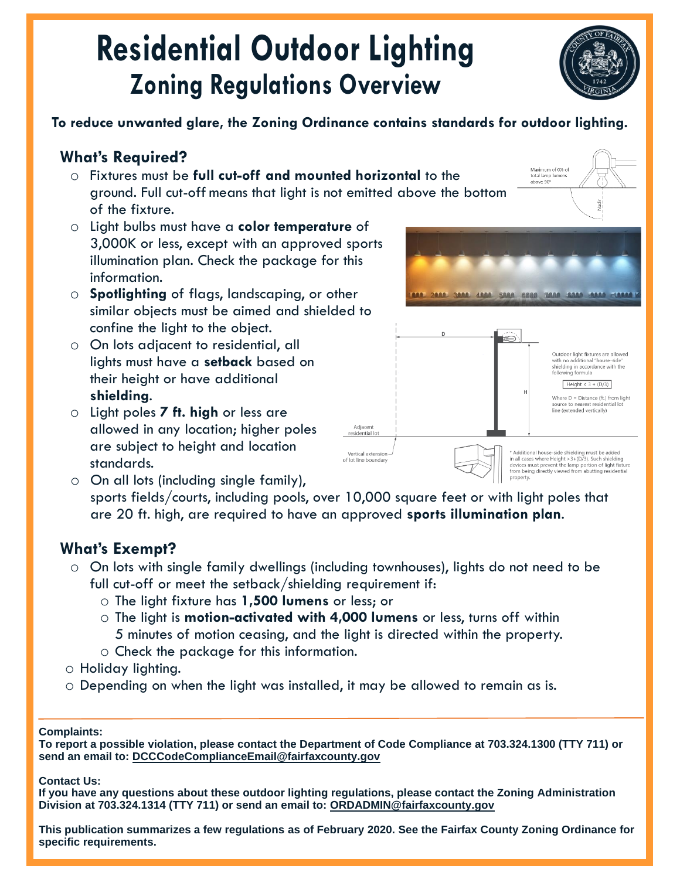# **Residential Outdoor Lighting Zoning Regulations Overview**

### **To reduce unwanted glare, the Zoning Ordinance contains standards for outdoor lighting.**

### **What's Required?**

- o Fixtures must be **full cut-off and mounted horizontal** to the ground. Full cut-off means that light is not emitted above the bottom of the fixture.
- o Light bulbs must have a **color temperature** of 3,000K or less, except with an approved sports illumination plan. Check the package for this information.
- o **Spotlighting** of flags, landscaping, or other similar objects must be aimed and shielded to confine the light to the object.
- o On lots adjacent to residential, all lights must have a **setback** based on their height or have additional **shielding**.
- o Light poles **7 ft. high** or less are allowed in any location; higher poles are subject to height and location standards.



Maximum of 0% of

o On all lots (including single family), sports fields/courts, including pools, over 10,000 square feet or with light poles that are 20 ft. high, are required to have an approved **sports illumination plan**.

Adjacent

# **What's Exempt?**

- o On lots with single family dwellings (including townhouses), lights do not need to be full cut-off or meet the setback/shielding requirement if:
	- o The light fixture has **1,500 lumens** or less; or
	- o The light is **motion-activated with 4,000 lumens** or less, turns off within 5 minutes of motion ceasing, and the light is directed within the property.
	- o Check the package for this information.
- o Holiday lighting.
- o Depending on when the light was installed, it may be allowed to remain as is.

### **Complaints:**

*Complaints:* **To report a possible violation, please contact the Department of Code Compliance at 703.324.1300 (TTY 711) or**  *If you have any concerns and/or complaints, please contact the Department of Code Compliance at*  **send an email to: DCCCodeComplianceEmail@fairfaxcounty.gov**

#### **Contact Us:**  $\blacksquare$

**If you have any questions about these outdoor lighting regulations, please contact the Zoning Administration Division at 703.324.1314 (TTY 711) or send an email to: ORDADMIN@fairfaxcounty.gov**

**This publication summarizes a few regulations as of February 2020. See the Fairfax County Zoning Ordinance for specific requirements.**